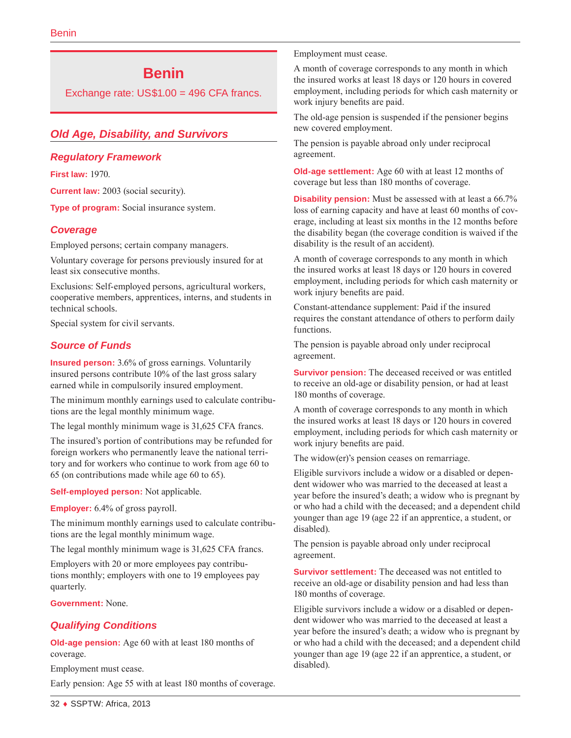# **Benin**

Exchange rate: US\$1.00 = 496 CFA francs.

# *Old Age, Disability, and Survivors*

#### *Regulatory Framework*

**First law:** 1970.

**Current law:** 2003 (social security).

**Type of program:** Social insurance system.

### *Coverage*

Employed persons; certain company managers.

Voluntary coverage for persons previously insured for at least six consecutive months.

Exclusions: Self-employed persons, agricultural workers, cooperative members, apprentices, interns, and students in technical schools.

Special system for civil servants.

### *Source of Funds*

**Insured person:** 3.6% of gross earnings. Voluntarily insured persons contribute 10% of the last gross salary earned while in compulsorily insured employment.

The minimum monthly earnings used to calculate contributions are the legal monthly minimum wage.

The legal monthly minimum wage is 31,625 CFA francs.

The insured's portion of contributions may be refunded for foreign workers who permanently leave the national territory and for workers who continue to work from age 60 to 65 (on contributions made while age 60 to 65).

**Self-employed person:** Not applicable.

**Employer:** 6.4% of gross payroll.

The minimum monthly earnings used to calculate contributions are the legal monthly minimum wage.

The legal monthly minimum wage is 31,625 CFA francs.

Employers with 20 or more employees pay contributions monthly; employers with one to 19 employees pay quarterly.

**Government:** None.

### *Qualifying Conditions*

**Old-age pension:** Age 60 with at least 180 months of coverage.

Employment must cease.

Early pension: Age 55 with at least 180 months of coverage.

Employment must cease.

A month of coverage corresponds to any month in which the insured works at least 18 days or 120 hours in covered employment, including periods for which cash maternity or work injury benefits are paid.

The old-age pension is suspended if the pensioner begins new covered employment.

The pension is payable abroad only under reciprocal agreement.

**Old-age settlement:** Age 60 with at least 12 months of coverage but less than 180 months of coverage.

**Disability pension:** Must be assessed with at least a 66.7% loss of earning capacity and have at least 60 months of coverage, including at least six months in the 12 months before the disability began (the coverage condition is waived if the disability is the result of an accident).

A month of coverage corresponds to any month in which the insured works at least 18 days or 120 hours in covered employment, including periods for which cash maternity or work injury benefits are paid.

Constant-attendance supplement: Paid if the insured requires the constant attendance of others to perform daily functions.

The pension is payable abroad only under reciprocal agreement.

**Survivor pension:** The deceased received or was entitled to receive an old-age or disability pension, or had at least 180 months of coverage.

A month of coverage corresponds to any month in which the insured works at least 18 days or 120 hours in covered employment, including periods for which cash maternity or work injury benefits are paid.

The widow(er)'s pension ceases on remarriage.

Eligible survivors include a widow or a disabled or dependent widower who was married to the deceased at least a year before the insured's death; a widow who is pregnant by or who had a child with the deceased; and a dependent child younger than age 19 (age 22 if an apprentice, a student, or disabled).

The pension is payable abroad only under reciprocal agreement.

**Survivor settlement:** The deceased was not entitled to receive an old-age or disability pension and had less than 180 months of coverage.

Eligible survivors include a widow or a disabled or dependent widower who was married to the deceased at least a year before the insured's death; a widow who is pregnant by or who had a child with the deceased; and a dependent child younger than age 19 (age 22 if an apprentice, a student, or disabled).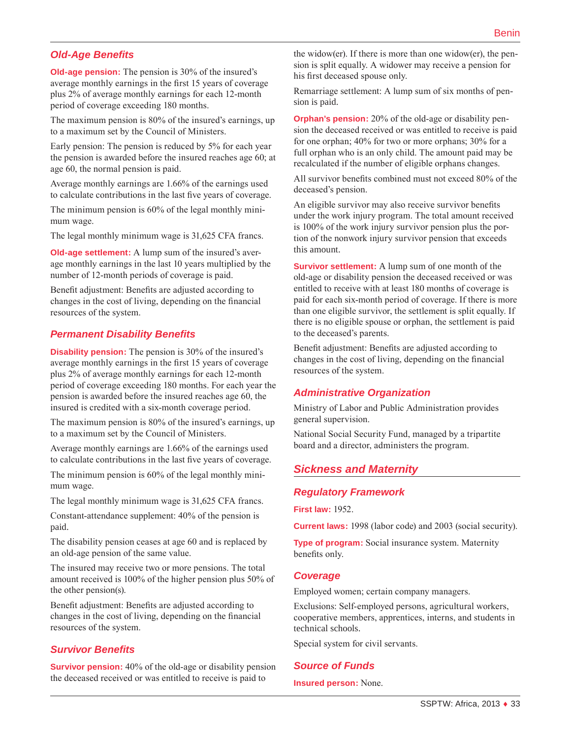## *Old-Age Benefits*

**Old-age pension:** The pension is 30% of the insured's average monthly earnings in the first 15 years of coverage plus 2% of average monthly earnings for each 12-month period of coverage exceeding 180 months.

The maximum pension is 80% of the insured's earnings, up to a maximum set by the Council of Ministers.

Early pension: The pension is reduced by 5% for each year the pension is awarded before the insured reaches age 60; at age 60, the normal pension is paid.

Average monthly earnings are 1.66% of the earnings used to calculate contributions in the last five years of coverage.

The minimum pension is 60% of the legal monthly minimum wage.

The legal monthly minimum wage is 31,625 CFA francs.

**Old-age settlement:** A lump sum of the insured's average monthly earnings in the last 10 years multiplied by the number of 12-month periods of coverage is paid.

Benefit adjustment: Benefits are adjusted according to changes in the cost of living, depending on the financial resources of the system.

#### *Permanent Disability Benefits*

**Disability pension:** The pension is 30% of the insured's average monthly earnings in the first 15 years of coverage plus 2% of average monthly earnings for each 12-month period of coverage exceeding 180 months. For each year the pension is awarded before the insured reaches age 60, the insured is credited with a six-month coverage period.

The maximum pension is 80% of the insured's earnings, up to a maximum set by the Council of Ministers.

Average monthly earnings are 1.66% of the earnings used to calculate contributions in the last five years of coverage.

The minimum pension is 60% of the legal monthly minimum wage.

The legal monthly minimum wage is 31,625 CFA francs.

Constant-attendance supplement: 40% of the pension is paid.

The disability pension ceases at age 60 and is replaced by an old-age pension of the same value.

The insured may receive two or more pensions. The total amount received is 100% of the higher pension plus 50% of the other pension(s).

Benefit adjustment: Benefits are adjusted according to changes in the cost of living, depending on the financial resources of the system.

#### *Survivor Benefits*

**Survivor pension:** 40% of the old-age or disability pension the deceased received or was entitled to receive is paid to

the widow(er). If there is more than one widow(er), the pension is split equally. A widower may receive a pension for his first deceased spouse only.

Remarriage settlement: A lump sum of six months of pension is paid.

**Orphan's pension:** 20% of the old-age or disability pension the deceased received or was entitled to receive is paid for one orphan; 40% for two or more orphans; 30% for a full orphan who is an only child. The amount paid may be recalculated if the number of eligible orphans changes.

All survivor benefits combined must not exceed 80% of the deceased's pension.

An eligible survivor may also receive survivor benefits under the work injury program. The total amount received is 100% of the work injury survivor pension plus the portion of the nonwork injury survivor pension that exceeds this amount.

**Survivor settlement:** A lump sum of one month of the old-age or disability pension the deceased received or was entitled to receive with at least 180 months of coverage is paid for each six-month period of coverage. If there is more than one eligible survivor, the settlement is split equally. If there is no eligible spouse or orphan, the settlement is paid to the deceased's parents.

Benefit adjustment: Benefits are adjusted according to changes in the cost of living, depending on the financial resources of the system.

#### *Administrative Organization*

Ministry of Labor and Public Administration provides general supervision.

National Social Security Fund, managed by a tripartite board and a director, administers the program.

#### *Sickness and Maternity*

#### *Regulatory Framework*

**First law:** 1952.

**Current laws:** 1998 (labor code) and 2003 (social security).

**Type of program:** Social insurance system. Maternity benefits only.

#### *Coverage*

Employed women; certain company managers.

Exclusions: Self-employed persons, agricultural workers, cooperative members, apprentices, interns, and students in technical schools.

Special system for civil servants.

#### *Source of Funds*

**Insured person:** None.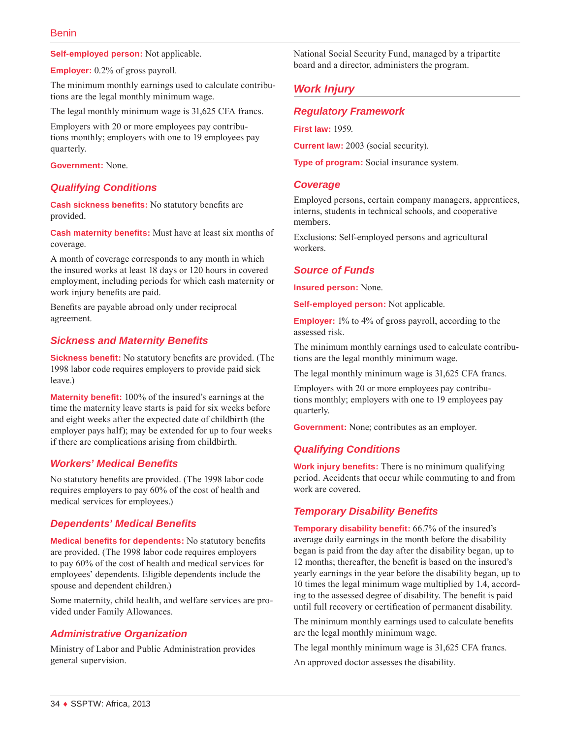**Self-employed person:** Not applicable.

**Employer:** 0.2% of gross payroll.

The minimum monthly earnings used to calculate contributions are the legal monthly minimum wage.

The legal monthly minimum wage is 31,625 CFA francs.

Employers with 20 or more employees pay contributions monthly; employers with one to 19 employees pay quarterly.

**Government:** None.

#### *Qualifying Conditions*

**Cash sickness benefits:** No statutory benefits are provided.

**Cash maternity benefits:** Must have at least six months of coverage.

A month of coverage corresponds to any month in which the insured works at least 18 days or 120 hours in covered employment, including periods for which cash maternity or work injury benefits are paid.

Benefits are payable abroad only under reciprocal agreement.

#### *Sickness and Maternity Benefits*

**Sickness benefit:** No statutory benefits are provided. (The 1998 labor code requires employers to provide paid sick leave.)

**Maternity benefit:** 100% of the insured's earnings at the time the maternity leave starts is paid for six weeks before and eight weeks after the expected date of childbirth (the employer pays half); may be extended for up to four weeks if there are complications arising from childbirth.

#### *Workers' Medical Benefits*

No statutory benefits are provided. (The 1998 labor code requires employers to pay 60% of the cost of health and medical services for employees.)

#### *Dependents' Medical Benefits*

**Medical benefits for dependents:** No statutory benefits are provided. (The 1998 labor code requires employers to pay 60% of the cost of health and medical services for employees' dependents. Eligible dependents include the spouse and dependent children.)

Some maternity, child health, and welfare services are provided under Family Allowances.

### *Administrative Organization*

Ministry of Labor and Public Administration provides general supervision.

National Social Security Fund, managed by a tripartite board and a director, administers the program.

# *Work Injury*

#### *Regulatory Framework*

**First law:** 1959.

**Current law:** 2003 (social security).

**Type of program:** Social insurance system.

#### *Coverage*

Employed persons, certain company managers, apprentices, interns, students in technical schools, and cooperative members.

Exclusions: Self-employed persons and agricultural workers.

#### *Source of Funds*

**Insured person:** None.

**Self-employed person:** Not applicable.

**Employer:** 1% to 4% of gross payroll, according to the assessed risk.

The minimum monthly earnings used to calculate contributions are the legal monthly minimum wage.

The legal monthly minimum wage is 31,625 CFA francs.

Employers with 20 or more employees pay contributions monthly; employers with one to 19 employees pay quarterly.

**Government:** None; contributes as an employer.

### *Qualifying Conditions*

**Work injury benefits:** There is no minimum qualifying period. Accidents that occur while commuting to and from work are covered.

### *Temporary Disability Benefits*

**Temporary disability benefit:** 66.7% of the insured's average daily earnings in the month before the disability began is paid from the day after the disability began, up to 12 months; thereafter, the benefit is based on the insured's yearly earnings in the year before the disability began, up to 10 times the legal minimum wage multiplied by 1.4, according to the assessed degree of disability. The benefit is paid until full recovery or certification of permanent disability.

The minimum monthly earnings used to calculate benefits are the legal monthly minimum wage.

The legal monthly minimum wage is 31,625 CFA francs.

An approved doctor assesses the disability.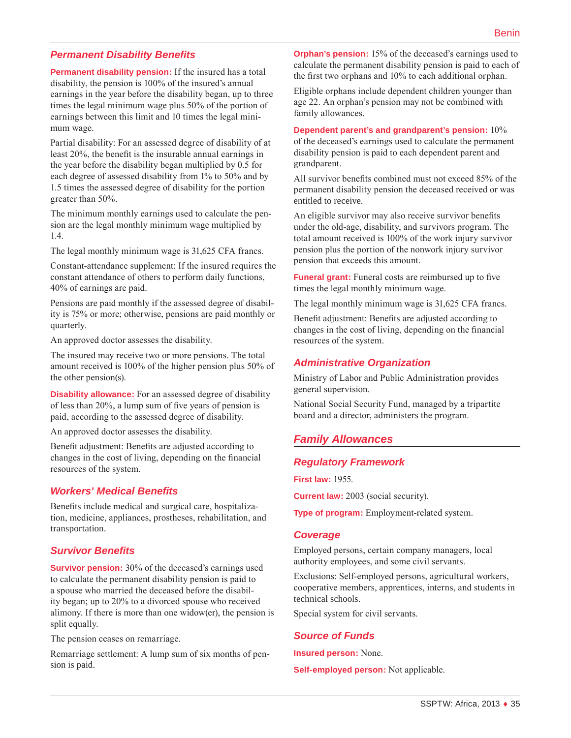### *Permanent Disability Benefits*

**Permanent disability pension:** If the insured has a total disability, the pension is 100% of the insured's annual earnings in the year before the disability began, up to three times the legal minimum wage plus 50% of the portion of earnings between this limit and 10 times the legal minimum wage.

Partial disability: For an assessed degree of disability of at least 20%, the benefit is the insurable annual earnings in the year before the disability began multiplied by 0.5 for each degree of assessed disability from 1% to 50% and by 1.5 times the assessed degree of disability for the portion greater than 50%.

The minimum monthly earnings used to calculate the pension are the legal monthly minimum wage multiplied by 1.4.

The legal monthly minimum wage is 31,625 CFA francs.

Constant-attendance supplement: If the insured requires the constant attendance of others to perform daily functions, 40% of earnings are paid.

Pensions are paid monthly if the assessed degree of disability is 75% or more; otherwise, pensions are paid monthly or quarterly.

An approved doctor assesses the disability.

The insured may receive two or more pensions. The total amount received is 100% of the higher pension plus 50% of the other pension(s).

**Disability allowance:** For an assessed degree of disability of less than 20%, a lump sum of five years of pension is paid, according to the assessed degree of disability.

An approved doctor assesses the disability.

Benefit adjustment: Benefits are adjusted according to changes in the cost of living, depending on the financial resources of the system.

#### *Workers' Medical Benefits*

Benefits include medical and surgical care, hospitalization, medicine, appliances, prostheses, rehabilitation, and transportation.

#### *Survivor Benefits*

**Survivor pension:** 30% of the deceased's earnings used to calculate the permanent disability pension is paid to a spouse who married the deceased before the disability began; up to 20% to a divorced spouse who received alimony. If there is more than one widow(er), the pension is split equally.

The pension ceases on remarriage.

Remarriage settlement: A lump sum of six months of pension is paid.

**Orphan's pension:** 15% of the deceased's earnings used to calculate the permanent disability pension is paid to each of the first two orphans and 10% to each additional orphan.

Eligible orphans include dependent children younger than age 22. An orphan's pension may not be combined with family allowances.

#### **Dependent parent's and grandparent's pension:** 10%

of the deceased's earnings used to calculate the permanent disability pension is paid to each dependent parent and grandparent.

All survivor benefits combined must not exceed 85% of the permanent disability pension the deceased received or was entitled to receive.

An eligible survivor may also receive survivor benefits under the old-age, disability, and survivors program. The total amount received is 100% of the work injury survivor pension plus the portion of the nonwork injury survivor pension that exceeds this amount.

**Funeral grant:** Funeral costs are reimbursed up to five times the legal monthly minimum wage.

The legal monthly minimum wage is 31,625 CFA francs.

Benefit adjustment: Benefits are adjusted according to changes in the cost of living, depending on the financial resources of the system.

#### *Administrative Organization*

Ministry of Labor and Public Administration provides general supervision.

National Social Security Fund, managed by a tripartite board and a director, administers the program.

# *Family Allowances*

#### *Regulatory Framework*

**First law:** 1955.

**Current law:** 2003 (social security).

**Type of program:** Employment-related system.

#### *Coverage*

Employed persons, certain company managers, local authority employees, and some civil servants.

Exclusions: Self-employed persons, agricultural workers, cooperative members, apprentices, interns, and students in technical schools.

Special system for civil servants.

# *Source of Funds*

**Insured person:** None.

**Self-employed person:** Not applicable.